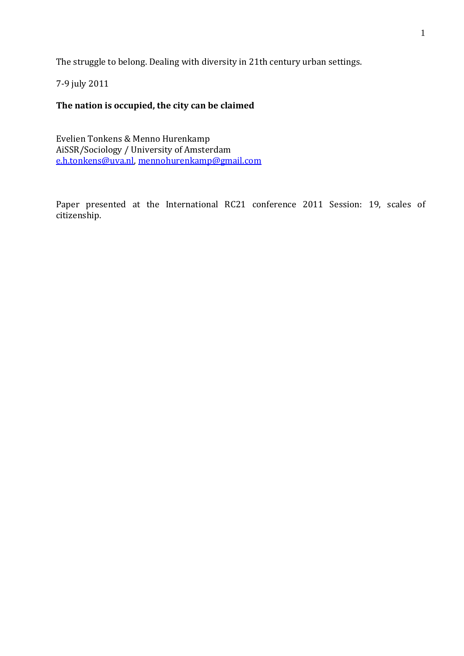The struggle to belong. Dealing with diversity in 21th century urban settings.

7-9 july 2011

# **The nation is occupied, the city can be claimed**

Evelien Tonkens & Menno Hurenkamp AiSSR/Sociology / University of Amsterdam [e.h.tonkens@uva.nl,](mailto:e.h.tonkens@uva.nl) [mennohurenkamp@gmail.com](mailto:mennohurenkamp@gmail.com)

Paper presented at the International RC21 conference 2011 Session: 19, scales of citizenship.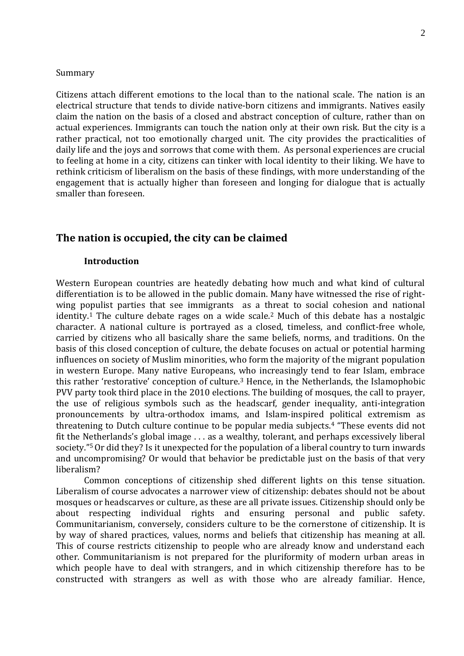#### Summary

Citizens attach different emotions to the local than to the national scale. The nation is an electrical structure that tends to divide native-born citizens and immigrants. Natives easily claim the nation on the basis of a closed and abstract conception of culture, rather than on actual experiences. Immigrants can touch the nation only at their own risk. But the city is a rather practical, not too emotionally charged unit. The city provides the practicalities of daily life and the joys and sorrows that come with them. As personal experiences are crucial to feeling at home in a city, citizens can tinker with local identity to their liking. We have to rethink criticism of liberalism on the basis of these findings, with more understanding of the engagement that is actually higher than foreseen and longing for dialogue that is actually smaller than foreseen.

## **The nation is occupied, the city can be claimed**

## **Introduction**

Western European countries are heatedly debating how much and what kind of cultural differentiation is to be allowed in the public domain. Many have witnessed the rise of rightwing populist parties that see immigrants as a threat to social cohesion and national identity.<sup>1</sup> The culture debate rages on a wide scale.<sup>2</sup> Much of this debate has a nostalgic character. A national culture is portrayed as a closed, timeless, and conflict-free whole, carried by citizens who all basically share the same beliefs, norms, and traditions. On the basis of this closed conception of culture, the debate focuses on actual or potential harming influences on society of Muslim minorities, who form the majority of the migrant population in western Europe. Many native Europeans, who increasingly tend to fear Islam, embrace this rather 'restorative' conception of culture.<sup>3</sup> Hence, in the Netherlands, the Islamophobic PVV party took third place in the 2010 elections. The building of mosques, the call to prayer, the use of religious symbols such as the headscarf, gender inequality, anti-integration pronouncements by ultra-orthodox imams, and Islam-inspired political extremism as threatening to Dutch culture continue to be popular media subjects.<sup>4</sup> "These events did not fit the Netherlands's global image . . . as a wealthy, tolerant, and perhaps excessively liberal society."5 Or did they? Is it unexpected for the population of a liberal country to turn inwards and uncompromising? Or would that behavior be predictable just on the basis of that very liberalism?

Common conceptions of citizenship shed different lights on this tense situation. Liberalism of course advocates a narrower view of citizenship: debates should not be about mosques or headscarves or culture, as these are all private issues. Citizenship should only be about respecting individual rights and ensuring personal and public safety. Communitarianism, conversely, considers culture to be the cornerstone of citizenship. It is by way of shared practices, values, norms and beliefs that citizenship has meaning at all. This of course restricts citizenship to people who are already know and understand each other. Communitarianism is not prepared for the pluriformity of modern urban areas in which people have to deal with strangers, and in which citizenship therefore has to be constructed with strangers as well as with those who are already familiar. Hence,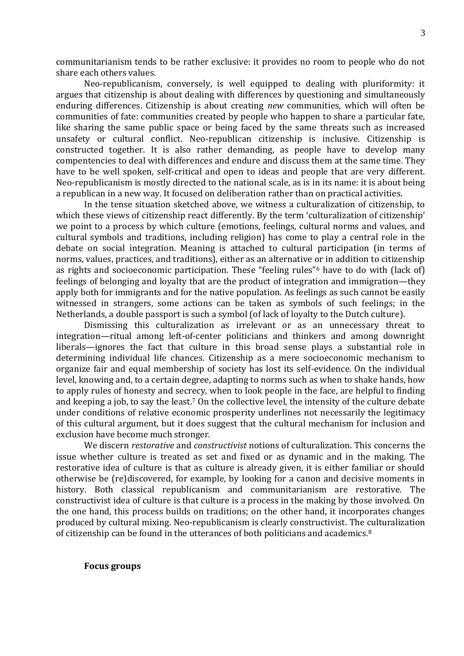communitarianism tends to be rather exclusive: it provides no room to people who do not share each others values.

Neo-republicanism, conversely, is well equipped to dealing with pluriformity: it argues that citizenship is about dealing with differences by questioning and simultaneously enduring differences. Citizenship is about creating *new* communities, which will often be communities of fate: communities created by people who happen to share a particular fate, like sharing the same public space or being faced by the same threats such as increased unsafety or cultural conflict. Neo-republican citizenship is inclusive. Citizenship is constructed together. It is also rather demanding, as people have to develop many compentencies to deal with differences and endure and discuss them at the same time. They have to be well spoken, self-critical and open to ideas and people that are very different. Neo-republicanism is mostly directed to the national scale, as is in its name: it is about being a republican in a new way. It focused on deliberation rather than on practical activities.

In the tense situation sketched above, we witness a culturalization of citizenship, to which these views of citizenship react differently. By the term 'culturalization of citizenship' we point to a process by which culture (emotions, feelings, cultural norms and values, and cultural symbols and traditions, including religion) has come to play a central role in the debate on social integration. Meaning is attached to cultural participation (in terms of norms, values, practices, and traditions), either as an alternative or in addition to citizenship as rights and socioeconomic participation. These "feeling rules"<sup>6</sup> have to do with (lack of) feelings of belonging and loyalty that are the product of integration and immigration—they apply both for immigrants and for the native population. As feelings as such cannot be easily witnessed in strangers, some actions can be taken as symbols of such feelings; in the Netherlands, a double passport is such a symbol (of lack of loyalty to the Dutch culture).

Dismissing this culturalization as irrelevant or as an unnecessary threat to integration—ritual among left-of-center politicians and thinkers and among downright liberals—ignores the fact that culture in this broad sense plays a substantial role in determining individual life chances. Citizenship as a mere socioeconomic mechanism to organize fair and equal membership of society has lost its self-evidence. On the individual level, knowing and, to a certain degree, adapting to norms such as when to shake hands, how to apply rules of honesty and secrecy, when to look people in the face, are helpful to finding and keeping a job, to say the least.<sup>7</sup> On the collective level, the intensity of the culture debate under conditions of relative economic prosperity underlines not necessarily the legitimacy of this cultural argument, but it does suggest that the cultural mechanism for inclusion and exclusion have become much stronger.

We discern *restorative* and *constructivist* notions of culturalization. This concerns the issue whether culture is treated as set and fixed or as dynamic and in the making. The restorative idea of culture is that as culture is already given, it is either familiar or should otherwise be (re)discovered, for example, by looking for a canon and decisive moments in history. Both classical republicanism and communitarianism are restorative. The constructivist idea of culture is that culture is a process in the making by those involved. On the one hand, this process builds on traditions; on the other hand, it incorporates changes produced by cultural mixing. Neo-republicanism is clearly constructivist. The culturalization of citizenship can be found in the utterances of both politicians and academics.<sup>8</sup>

## **Focus groups**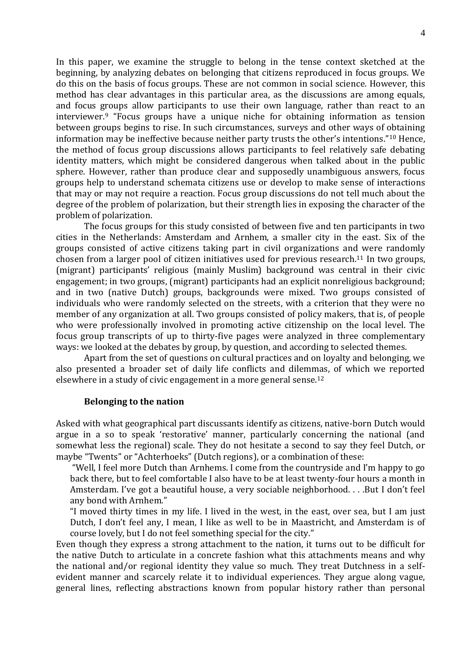In this paper, we examine the struggle to belong in the tense context sketched at the beginning, by analyzing debates on belonging that citizens reproduced in focus groups. We do this on the basis of focus groups. These are not common in social science. However, this method has clear advantages in this particular area, as the discussions are among equals, and focus groups allow participants to use their own language, rather than react to an interviewer.<sup>9</sup> "Focus groups have a unique niche for obtaining information as tension between groups begins to rise. In such circumstances, surveys and other ways of obtaining information may be ineffective because neither party trusts the other's intentions."<sup>10</sup> Hence, the method of focus group discussions allows participants to feel relatively safe debating identity matters, which might be considered dangerous when talked about in the public sphere. However, rather than produce clear and supposedly unambiguous answers, focus groups help to understand schemata citizens use or develop to make sense of interactions that may or may not require a reaction. Focus group discussions do not tell much about the degree of the problem of polarization, but their strength lies in exposing the character of the problem of polarization.

The focus groups for this study consisted of between five and ten participants in two cities in the Netherlands: Amsterdam and Arnhem, a smaller city in the east. Six of the groups consisted of active citizens taking part in civil organizations and were randomly chosen from a larger pool of citizen initiatives used for previous research.<sup>11</sup> In two groups, (migrant) participants' religious (mainly Muslim) background was central in their civic engagement; in two groups, (migrant) participants had an explicit nonreligious background; and in two (native Dutch) groups, backgrounds were mixed. Two groups consisted of individuals who were randomly selected on the streets, with a criterion that they were no member of any organization at all. Two groups consisted of policy makers, that is, of people who were professionally involved in promoting active citizenship on the local level. The focus group transcripts of up to thirty-five pages were analyzed in three complementary ways: we looked at the debates by group, by question, and according to selected themes.

Apart from the set of questions on cultural practices and on loyalty and belonging, we also presented a broader set of daily life conflicts and dilemmas, of which we reported elsewhere in a study of civic engagement in a more general sense.<sup>12</sup>

### **Belonging to the nation**

Asked with what geographical part discussants identify as citizens, native-born Dutch would argue in a so to speak 'restorative' manner, particularly concerning the national (and somewhat less the regional) scale. They do not hesitate a second to say they feel Dutch, or maybe "Twents" or "Achterhoeks" (Dutch regions), or a combination of these:

"Well, I feel more Dutch than Arnhems. I come from the countryside and I'm happy to go back there, but to feel comfortable I also have to be at least twenty-four hours a month in Amsterdam. I've got a beautiful house, a very sociable neighborhood. . . .But I don't feel any bond with Arnhem."

"I moved thirty times in my life. I lived in the west, in the east, over sea, but I am just Dutch, I don't feel any, I mean, I like as well to be in Maastricht, and Amsterdam is of course lovely, but I do not feel something special for the city."

Even though they express a strong attachment to the nation, it turns out to be difficult for the native Dutch to articulate in a concrete fashion what this attachments means and why the national and/or regional identity they value so much. They treat Dutchness in a selfevident manner and scarcely relate it to individual experiences. They argue along vague, general lines, reflecting abstractions known from popular history rather than personal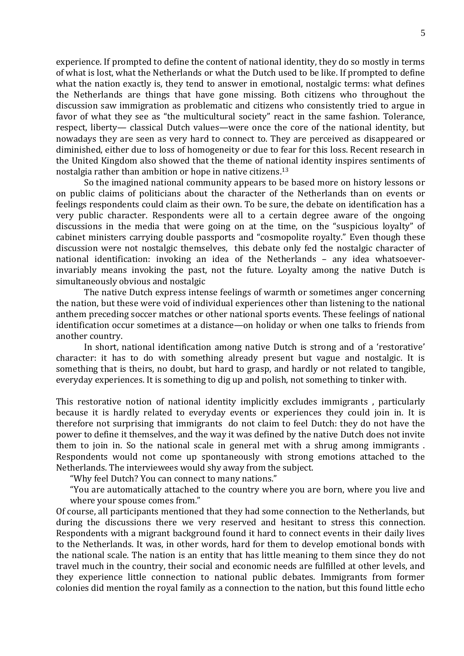experience. If prompted to define the content of national identity, they do so mostly in terms of what is lost, what the Netherlands or what the Dutch used to be like. If prompted to define what the nation exactly is, they tend to answer in emotional, nostalgic terms: what defines the Netherlands are things that have gone missing. Both citizens who throughout the discussion saw immigration as problematic and citizens who consistently tried to argue in favor of what they see as "the multicultural society" react in the same fashion. Tolerance, respect, liberty— classical Dutch values—were once the core of the national identity, but nowadays they are seen as very hard to connect to. They are perceived as disappeared or diminished, either due to loss of homogeneity or due to fear for this loss. Recent research in the United Kingdom also showed that the theme of national identity inspires sentiments of nostalgia rather than ambition or hope in native citizens.<sup>13</sup>

So the imagined national community appears to be based more on history lessons or on public claims of politicians about the character of the Netherlands than on events or feelings respondents could claim as their own. To be sure, the debate on identification has a very public character. Respondents were all to a certain degree aware of the ongoing discussions in the media that were going on at the time, on the "suspicious loyalty" of cabinet ministers carrying double passports and "cosmopolite royalty." Even though these discussion were not nostalgic themselves, this debate only fed the nostalgic character of national identification: invoking an idea of the Netherlands – any idea whatsoeverinvariably means invoking the past, not the future. Loyalty among the native Dutch is simultaneously obvious and nostalgic

The native Dutch express intense feelings of warmth or sometimes anger concerning the nation, but these were void of individual experiences other than listening to the national anthem preceding soccer matches or other national sports events. These feelings of national identification occur sometimes at a distance—on holiday or when one talks to friends from another country.

In short, national identification among native Dutch is strong and of a 'restorative' character: it has to do with something already present but vague and nostalgic. It is something that is theirs, no doubt, but hard to grasp, and hardly or not related to tangible, everyday experiences. It is something to dig up and polish, not something to tinker with.

This restorative notion of national identity implicitly excludes immigrants , particularly because it is hardly related to everyday events or experiences they could join in. It is therefore not surprising that immigrants do not claim to feel Dutch: they do not have the power to define it themselves, and the way it was defined by the native Dutch does not invite them to join in. So the national scale in general met with a shrug among immigrants . Respondents would not come up spontaneously with strong emotions attached to the Netherlands. The interviewees would shy away from the subject.

"Why feel Dutch? You can connect to many nations."

"You are automatically attached to the country where you are born, where you live and where your spouse comes from."

Of course, all participants mentioned that they had some connection to the Netherlands, but during the discussions there we very reserved and hesitant to stress this connection. Respondents with a migrant background found it hard to connect events in their daily lives to the Netherlands. It was, in other words, hard for them to develop emotional bonds with the national scale. The nation is an entity that has little meaning to them since they do not travel much in the country, their social and economic needs are fulfilled at other levels, and they experience little connection to national public debates. Immigrants from former colonies did mention the royal family as a connection to the nation, but this found little echo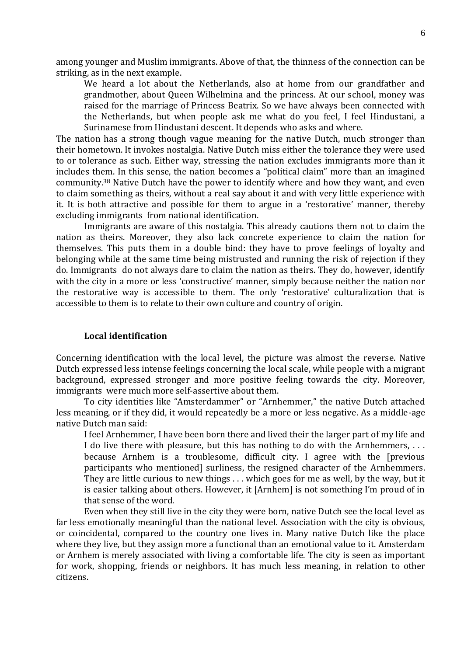among younger and Muslim immigrants. Above of that, the thinness of the connection can be striking, as in the next example.

We heard a lot about the Netherlands, also at home from our grandfather and grandmother, about Queen Wilhelmina and the princess. At our school, money was raised for the marriage of Princess Beatrix. So we have always been connected with the Netherlands, but when people ask me what do you feel, I feel Hindustani, a Surinamese from Hindustani descent. It depends who asks and where.

The nation has a strong though vague meaning for the native Dutch, much stronger than their hometown. It invokes nostalgia. Native Dutch miss either the tolerance they were used to or tolerance as such. Either way, stressing the nation excludes immigrants more than it includes them. In this sense, the nation becomes a "political claim" more than an imagined community.<sup>38</sup> Native Dutch have the power to identify where and how they want, and even to claim something as theirs, without a real say about it and with very little experience with it. It is both attractive and possible for them to argue in a 'restorative' manner, thereby excluding immigrants from national identification.

Immigrants are aware of this nostalgia. This already cautions them not to claim the nation as theirs. Moreover, they also lack concrete experience to claim the nation for themselves. This puts them in a double bind: they have to prove feelings of loyalty and belonging while at the same time being mistrusted and running the risk of rejection if they do. Immigrants do not always dare to claim the nation as theirs. They do, however, identify with the city in a more or less 'constructive' manner, simply because neither the nation nor the restorative way is accessible to them. The only 'restorative' culturalization that is accessible to them is to relate to their own culture and country of origin.

### **Local identification**

Concerning identification with the local level, the picture was almost the reverse. Native Dutch expressed less intense feelings concerning the local scale, while people with a migrant background, expressed stronger and more positive feeling towards the city. Moreover, immigrants were much more self-assertive about them.

To city identities like "Amsterdammer" or "Arnhemmer," the native Dutch attached less meaning, or if they did, it would repeatedly be a more or less negative. As a middle-age native Dutch man said:

I feel Arnhemmer, I have been born there and lived their the larger part of my life and I do live there with pleasure, but this has nothing to do with the Arnhemmers, . . . because Arnhem is a troublesome, difficult city. I agree with the [previous participants who mentioned] surliness, the resigned character of the Arnhemmers. They are little curious to new things . . . which goes for me as well, by the way, but it is easier talking about others. However, it [Arnhem] is not something I'm proud of in that sense of the word.

Even when they still live in the city they were born, native Dutch see the local level as far less emotionally meaningful than the national level. Association with the city is obvious, or coincidental, compared to the country one lives in. Many native Dutch like the place where they live, but they assign more a functional than an emotional value to it. Amsterdam or Arnhem is merely associated with living a comfortable life. The city is seen as important for work, shopping, friends or neighbors. It has much less meaning, in relation to other citizens.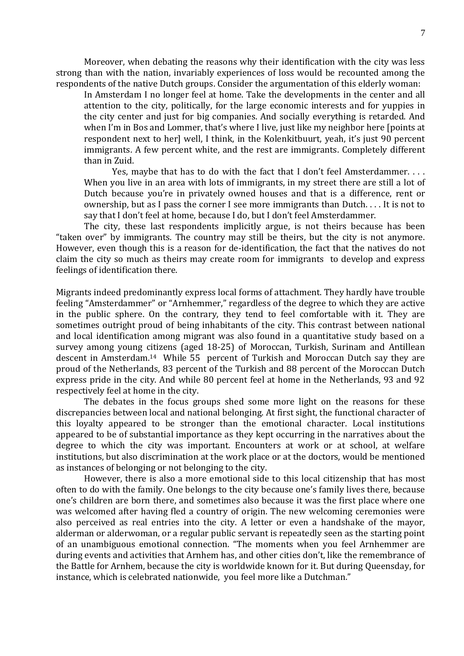Moreover, when debating the reasons why their identification with the city was less strong than with the nation, invariably experiences of loss would be recounted among the respondents of the native Dutch groups. Consider the argumentation of this elderly woman:

In Amsterdam I no longer feel at home. Take the developments in the center and all attention to the city, politically, for the large economic interests and for yuppies in the city center and just for big companies. And socially everything is retarded. And when I'm in Bos and Lommer, that's where I live, just like my neighbor here [points at respondent next to her] well, I think, in the Kolenkitbuurt, yeah, it's just 90 percent immigrants. A few percent white, and the rest are immigrants. Completely different than in Zuid.

Yes, maybe that has to do with the fact that I don't feel Amsterdammer. . . . When you live in an area with lots of immigrants, in my street there are still a lot of Dutch because you're in privately owned houses and that is a difference, rent or ownership, but as I pass the corner I see more immigrants than Dutch. . . . It is not to say that I don't feel at home, because I do, but I don't feel Amsterdammer.

The city, these last respondents implicitly argue, is not theirs because has been "taken over" by immigrants. The country may still be theirs, but the city is not anymore. However, even though this is a reason for de-identification, the fact that the natives do not claim the city so much as theirs may create room for immigrants to develop and express feelings of identification there.

Migrants indeed predominantly express local forms of attachment. They hardly have trouble feeling "Amsterdammer" or "Arnhemmer," regardless of the degree to which they are active in the public sphere. On the contrary, they tend to feel comfortable with it. They are sometimes outright proud of being inhabitants of the city. This contrast between national and local identification among migrant was also found in a quantitative study based on a survey among young citizens (aged 18-25) of Moroccan, Turkish, Surinam and Antillean descent in Amsterdam.14 While 55 percent of Turkish and Moroccan Dutch say they are proud of the Netherlands, 83 percent of the Turkish and 88 percent of the Moroccan Dutch express pride in the city. And while 80 percent feel at home in the Netherlands, 93 and 92 respectively feel at home in the city.

The debates in the focus groups shed some more light on the reasons for these discrepancies between local and national belonging. At first sight, the functional character of this loyalty appeared to be stronger than the emotional character. Local institutions appeared to be of substantial importance as they kept occurring in the narratives about the degree to which the city was important. Encounters at work or at school, at welfare institutions, but also discrimination at the work place or at the doctors, would be mentioned as instances of belonging or not belonging to the city.

However, there is also a more emotional side to this local citizenship that has most often to do with the family. One belongs to the city because one's family lives there, because one's children are born there, and sometimes also because it was the first place where one was welcomed after having fled a country of origin. The new welcoming ceremonies were also perceived as real entries into the city. A letter or even a handshake of the mayor, alderman or alderwoman, or a regular public servant is repeatedly seen as the starting point of an unambiguous emotional connection. "The moments when you feel Arnhemmer are during events and activities that Arnhem has, and other cities don't, like the remembrance of the Battle for Arnhem, because the city is worldwide known for it. But during Queensday, for instance, which is celebrated nationwide, you feel more like a Dutchman."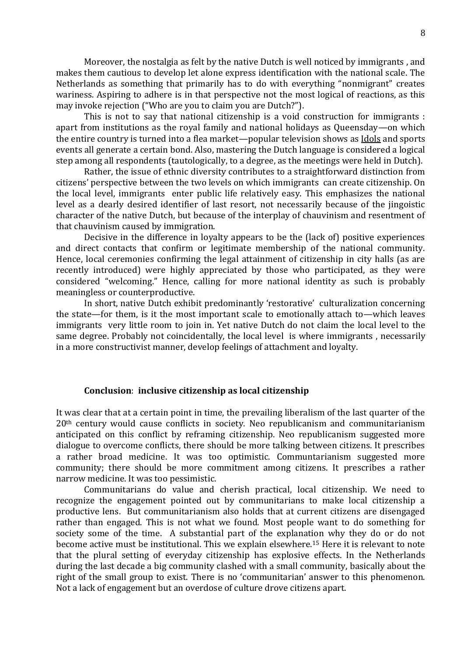Moreover, the nostalgia as felt by the native Dutch is well noticed by immigrants , and makes them cautious to develop let alone express identification with the national scale. The Netherlands as something that primarily has to do with everything "nonmigrant" creates wariness. Aspiring to adhere is in that perspective not the most logical of reactions, as this may invoke rejection ("Who are you to claim you are Dutch?").

This is not to say that national citizenship is a void construction for immigrants : apart from institutions as the royal family and national holidays as Queensday—on which the entire country is turned into a flea market—popular television shows as Idols and sports events all generate a certain bond. Also, mastering the Dutch language is considered a logical step among all respondents (tautologically, to a degree, as the meetings were held in Dutch).

Rather, the issue of ethnic diversity contributes to a straightforward distinction from citizens' perspective between the two levels on which immigrants can create citizenship. On the local level, immigrants enter public life relatively easy. This emphasizes the national level as a dearly desired identifier of last resort, not necessarily because of the jingoistic character of the native Dutch, but because of the interplay of chauvinism and resentment of that chauvinism caused by immigration.

Decisive in the difference in loyalty appears to be the (lack of) positive experiences and direct contacts that confirm or legitimate membership of the national community. Hence, local ceremonies confirming the legal attainment of citizenship in city halls (as are recently introduced) were highly appreciated by those who participated, as they were considered "welcoming." Hence, calling for more national identity as such is probably meaningless or counterproductive.

In short, native Dutch exhibit predominantly 'restorative' culturalization concerning the state—for them, is it the most important scale to emotionally attach to—which leaves immigrants very little room to join in. Yet native Dutch do not claim the local level to the same degree. Probably not coincidentally, the local level is where immigrants , necessarily in a more constructivist manner, develop feelings of attachment and loyalty.

## **Conclusion**: **inclusive citizenship as local citizenship**

It was clear that at a certain point in time, the prevailing liberalism of the last quarter of the 20th century would cause conflicts in society. Neo republicanism and communitarianism anticipated on this conflict by reframing citizenship. Neo republicanism suggested more dialogue to overcome conflicts, there should be more talking between citizens. It prescribes a rather broad medicine. It was too optimistic. Communtarianism suggested more community; there should be more commitment among citizens. It prescribes a rather narrow medicine. It was too pessimistic.

Communitarians do value and cherish practical, local citizenship. We need to recognize the engagement pointed out by communitarians to make local citizenship a productive lens. But communitarianism also holds that at current citizens are disengaged rather than engaged. This is not what we found. Most people want to do something for society some of the time. A substantial part of the explanation why they do or do not become active must be institutional. This we explain elsewhere.<sup>15</sup> Here it is relevant to note that the plural setting of everyday citizenship has explosive effects. In the Netherlands during the last decade a big community clashed with a small community, basically about the right of the small group to exist. There is no 'communitarian' answer to this phenomenon. Not a lack of engagement but an overdose of culture drove citizens apart.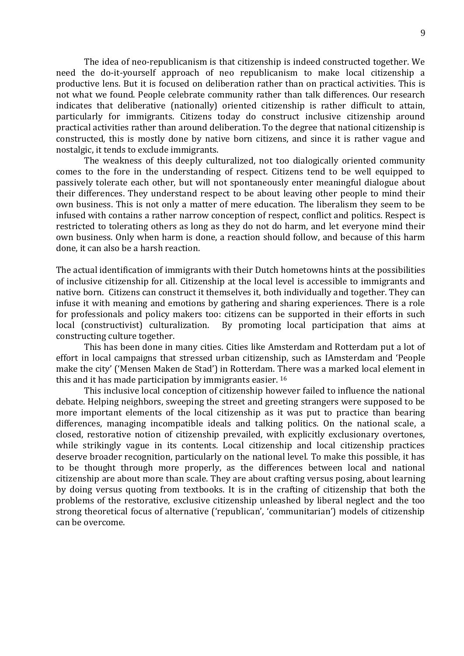The idea of neo-republicanism is that citizenship is indeed constructed together. We need the do-it-yourself approach of neo republicanism to make local citizenship a productive lens. But it is focused on deliberation rather than on practical activities. This is not what we found. People celebrate community rather than talk differences. Our research indicates that deliberative (nationally) oriented citizenship is rather difficult to attain, particularly for immigrants. Citizens today do construct inclusive citizenship around practical activities rather than around deliberation. To the degree that national citizenship is constructed, this is mostly done by native born citizens, and since it is rather vague and nostalgic, it tends to exclude immigrants.

The weakness of this deeply culturalized, not too dialogically oriented community comes to the fore in the understanding of respect. Citizens tend to be well equipped to passively tolerate each other, but will not spontaneously enter meaningful dialogue about their differences. They understand respect to be about leaving other people to mind their own business. This is not only a matter of mere education. The liberalism they seem to be infused with contains a rather narrow conception of respect, conflict and politics. Respect is restricted to tolerating others as long as they do not do harm, and let everyone mind their own business. Only when harm is done, a reaction should follow, and because of this harm done, it can also be a harsh reaction.

The actual identification of immigrants with their Dutch hometowns hints at the possibilities of inclusive citizenship for all. Citizenship at the local level is accessible to immigrants and native born. Citizens can construct it themselves it, both individually and together. They can infuse it with meaning and emotions by gathering and sharing experiences. There is a role for professionals and policy makers too: citizens can be supported in their efforts in such local (constructivist) culturalization. By promoting local participation that aims at constructing culture together.

This has been done in many cities. Cities like Amsterdam and Rotterdam put a lot of effort in local campaigns that stressed urban citizenship, such as IAmsterdam and 'People make the city' ('Mensen Maken de Stad') in Rotterdam. There was a marked local element in this and it has made participation by immigrants easier. 16

This inclusive local conception of citizenship however failed to influence the national debate. Helping neighbors, sweeping the street and greeting strangers were supposed to be more important elements of the local citizenship as it was put to practice than bearing differences, managing incompatible ideals and talking politics. On the national scale, a closed, restorative notion of citizenship prevailed, with explicitly exclusionary overtones, while strikingly vague in its contents. Local citizenship and local citizenship practices deserve broader recognition, particularly on the national level. To make this possible, it has to be thought through more properly, as the differences between local and national citizenship are about more than scale. They are about crafting versus posing, about learning by doing versus quoting from textbooks. It is in the crafting of citizenship that both the problems of the restorative, exclusive citizenship unleashed by liberal neglect and the too strong theoretical focus of alternative ('republican', 'communitarian') models of citizenship can be overcome.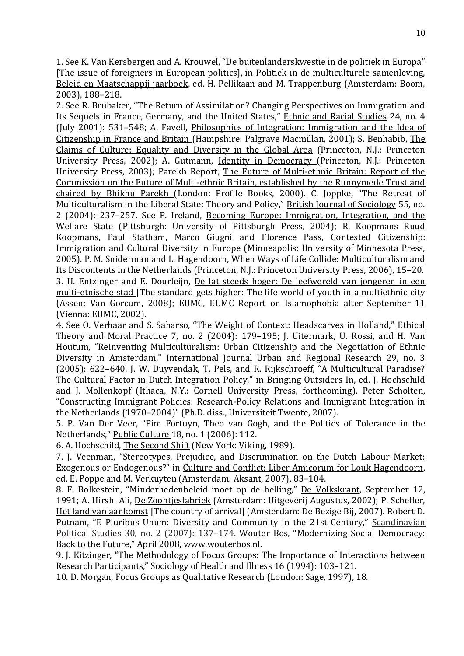1. See K. Van Kersbergen and A. Krouwel, "De buitenlanderskwestie in de politiek in Europa" [The issue of foreigners in European politics], in Politiek in de multiculturele samenleving, Beleid en Maatschappij jaarboek, ed. H. Pellikaan and M. Trappenburg (Amsterdam: Boom, 2003), 188–218.

2. See R. Brubaker, "The Return of Assimilation? Changing Perspectives on Immigration and Its Sequels in France, Germany, and the United States," Ethnic and Racial Studies 24, no. 4 (July 2001): 531–548; A. Favell, Philosophies of Integration: Immigration and the Idea of Citizenship in France and Britain (Hampshire: Palgrave Macmillan, 2001); S. Benhabib, The Claims of Culture: Equality and Diversity in the Global Area (Princeton, N.J.: Princeton University Press, 2002); A. Gutmann, Identity in Democracy (Princeton, N.J.: Princeton University Press, 2003); Parekh Report, The Future of Multi-ethnic Britain: Report of the Commission on the Future of Multi-ethnic Britain, established by the Runnymede Trust and chaired by Bhikhu Parekh (London: Profile Books, 2000). C. Joppke, "The Retreat of Multiculturalism in the Liberal State: Theory and Policy," British Journal of Sociology 55, no. 2 (2004): 237–257. See P. Ireland, Becoming Europe: Immigration, Integration, and the Welfare State (Pittsburgh: University of Pittsburgh Press, 2004); R. Koopmans Ruud Koopmans, Paul Statham, Marco Giugni and Florence Pass, Contested Citizenship: Immigration and Cultural Diversity in Europe (Minneapolis: University of Minnesota Press, 2005). P. M. Sniderman and L. Hagendoorn, When Ways of Life Collide: Multiculturalism and Its Discontents in the Netherlands (Princeton, N.J.: Princeton University Press, 2006), 15–20. 3. H. Entzinger and E. Dourleijn, De lat steeds hoger: De leefwereld van jongeren in een multi-etnische stad [The standard gets higher: The life world of youth in a multiethnic city (Assen: Van Gorcum, 2008); EUMC, EUMC Report on Islamophobia after September 11 (Vienna: EUMC, 2002).

4. See O. Verhaar and S. Saharso, "The Weight of Context: Headscarves in Holland," Ethical Theory and Moral Practice 7, no. 2 (2004): 179–195; J. Uitermark, U. Rossi, and H. Van Houtum, "Reinventing Multiculturalism: Urban Citizenship and the Negotiation of Ethnic Diversity in Amsterdam," International Journal Urban and Regional Research 29, no. 3 (2005): 622–640. J. W. Duyvendak, T. Pels, and R. Rijkschroeff, "A Multicultural Paradise? The Cultural Factor in Dutch Integration Policy," in Bringing Outsiders In, ed. J. Hochschild and J. Mollenkopf (Ithaca, N.Y.: Cornell University Press, forthcoming). Peter Scholten, "Constructing Immigrant Policies: Research-Policy Relations and Immigrant Integration in the Netherlands (1970–2004)" (Ph.D. diss., Universiteit Twente, 2007).

5. P. Van Der Veer, "Pim Fortuyn, Theo van Gogh, and the Politics of Tolerance in the Netherlands," Public Culture 18, no. 1 (2006): 112.

6. A. Hochschild, The Second Shift (New York: Viking, 1989).

7. J. Veenman, "Stereotypes, Prejudice, and Discrimination on the Dutch Labour Market: Exogenous or Endogenous?" in Culture and Conflict: Liber Amicorum for Louk Hagendoorn, ed. E. Poppe and M. Verkuyten (Amsterdam: Aksant, 2007), 83–104.

8. F. Bolkestein, "Minderhedenbeleid moet op de helling," De Volkskrant, September 12, 1991; A. Hirshi Ali, De Zoontjesfabriek (Amsterdam: Uitgeverij Augustus, 2002); P. Scheffer, Het land van aankomst [The country of arrival] (Amsterdam: De Bezige Bij, 2007). Robert D. Putnam, "E Pluribus Unum: Diversity and Community in the 21st Century," Scandinavian Political Studies 30, no. 2 (2007): 137–174. Wouter Bos, "Modernizing Social Democracy: Back to the Future," April 2008, [www.wouterbos.nl.](http://www.wouterbos.nl/)

9. J. Kitzinger, "The Methodology of Focus Groups: The Importance of Interactions between Research Participants," Sociology of Health and Illness 16 (1994): 103–121.

10. D. Morgan, Focus Groups as Qualitative Research (London: Sage, 1997), 18.